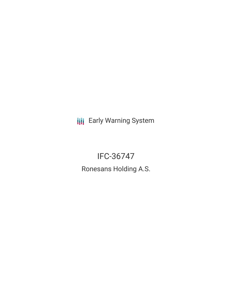**III** Early Warning System

# IFC-36747

Ronesans Holding A.S.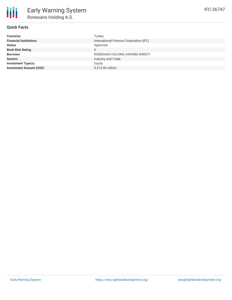## **Quick Facts**

| <b>Countries</b>               | Turkey                                  |
|--------------------------------|-----------------------------------------|
| <b>Financial Institutions</b>  | International Finance Corporation (IFC) |
| <b>Status</b>                  | Approved                                |
| <b>Bank Risk Rating</b>        | A                                       |
| <b>Borrower</b>                | RONESANS HOLDING ANONIM SIRKETI         |
| <b>Sectors</b>                 | Industry and Trade                      |
| <b>Investment Type(s)</b>      | Equity                                  |
| <b>Investment Amount (USD)</b> | \$215.00 million                        |
|                                |                                         |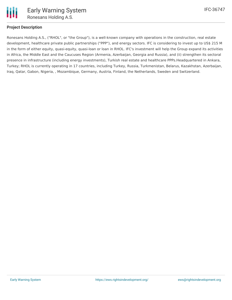

## **Project Description**

Ronesans Holding A.S., ("RHOL", or "the Group"), is a well-known company with operations in the construction, real estate development, healthcare private public partnerships ("PPP"), and energy sectors. IFC is considering to invest up to US\$ 215 M in the form of either equity, quasi-equity, quasi-loan or loan in RHOL. IFC's investment will help the Group expand its activities in Africa, the Middle East and the Caucuses Region (Armenia, Azerbaijan, Georgia and Russia), and (ii) strengthen its sectoral presence in infrastructure (including energy investments), Turkish real estate and healthcare PPPs.Headquartered in Ankara, Turkey; RHOL is currently operating in 17 countries, including Turkey, Russia, Turkmenistan, Belarus, Kazakhstan, Azerbaijan, Iraq, Qatar, Gabon, Nigeria, , Mozambique, Germany, Austria, Finland, the Netherlands, Sweden and Switzerland.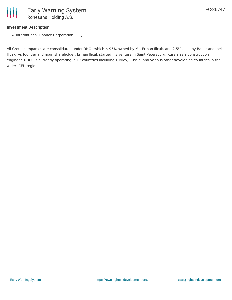#### **Investment Description**

• International Finance Corporation (IFC)

All Group companies are consolidated under RHOL which is 95% owned by Mr. Erman Ilicak, and 2.5% each by Bahar and Ipek Ilicak. As founder and main shareholder, Erman Ilicak started his venture in Saint Petersburg, Russia as a construction engineer. RHOL is currently operating in 17 countries including Turkey, Russia, and various other developing countries in the wider- CEU region.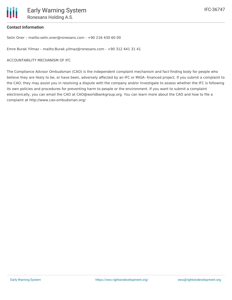## **Contact Information**

Selin Oner – mailto:selin.oner@ronesans.com - +90 216 430 60 00

Emre Burak Yilmaz – mailto:Burak.yilmaz@ronesans.com - +90 312 441 31 41

#### ACCOUNTABILITY MECHANISM OF IFC

The Compliance Advisor Ombudsman (CAO) is the independent complaint mechanism and fact-finding body for people who believe they are likely to be, or have been, adversely affected by an IFC or MIGA- financed project. If you submit a complaint to the CAO, they may assist you in resolving a dispute with the company and/or investigate to assess whether the IFC is following its own policies and procedures for preventing harm to people or the environment. If you want to submit a complaint electronically, you can email the CAO at CAO@worldbankgroup.org. You can learn more about the CAO and how to file a complaint at http://www.cao-ombudsman.org/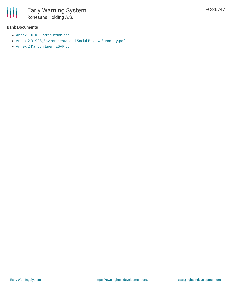

#### **Bank Documents**

- Annex 1 RHOL [Introduction.pdf](http://ifcextapps.ifc.org/ifcext/spiwebsite1.nsf/0/db593978373df22285257f7d005b3d17/$File/Annex 1 RHOL Introduction.pdf)
- Annex 2 [31998\\_Environmental](http://ifcextapps.ifc.org/ifcext/spiwebsite1.nsf/0/db593978373df22285257f7d005b3d17/$File/Annex 2  31998_Environmental and Social Review Summary.pdf) and Social Review Summary.pdf
- Annex 2 Kanyon Enerji [ESAP.pdf](http://ifcextapps.ifc.org/ifcext/spiwebsite1.nsf/0/db593978373df22285257f7d005b3d17/$File/Annex 2 Kanyon Enerji ESAP.pdf)